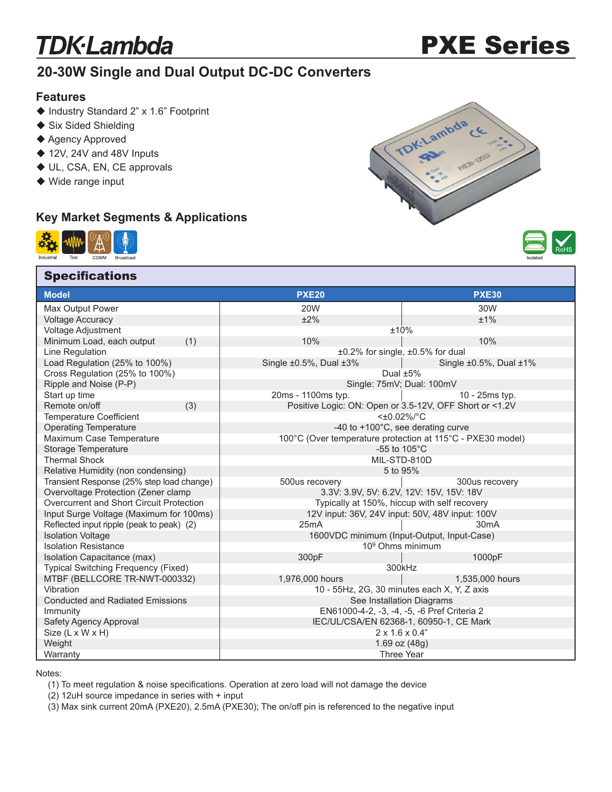# **TDK**·Lambda

# PXE Series

## **20-30W Single and Dual Output DC-DC Converters**

#### **Features**

- ◆ Industry Standard 2" x 1.6" Footprint
- ◆ Six Sided Shielding
- ◆ Agency Approved
- ◆ 12V, 24V and 48V Inputs
- ◆ UL, CSA, EN, CE approvals
- ◆ Wide range input

### **Key Market Segments & Applications**



**Specifications** 





| <b>Model</b>                                                           | <b>PXE20</b>                                               | <b>PXE30</b>                                            |  |
|------------------------------------------------------------------------|------------------------------------------------------------|---------------------------------------------------------|--|
| Max Output Power                                                       | <b>20W</b>                                                 | 30W                                                     |  |
| <b>Voltage Accuracy</b>                                                | ±2%                                                        | ±1%                                                     |  |
| Voltage Adjustment                                                     | ±10%                                                       |                                                         |  |
| Minimum Load, each output<br>(1)                                       | 10%                                                        | 10%                                                     |  |
| Line Regulation                                                        |                                                            | ±0.2% for single, ±0.5% for dual                        |  |
| Load Regulation (25% to 100%)                                          | Single $\pm 0.5$ %, Dual $\pm 3$ %                         | Single $\pm 0.5$ %, Dual $\pm 1$ %                      |  |
| Cross Regulation (25% to 100%)                                         |                                                            | Dual $±5%$                                              |  |
| Ripple and Noise (P-P)                                                 |                                                            | Single: 75mV; Dual: 100mV                               |  |
| Start up time                                                          | 20ms - 1100ms typ.                                         | 10 - 25ms typ.                                          |  |
| Remote on/off<br>(3)                                                   |                                                            | Positive Logic: ON: Open or 3.5-12V, OFF Short or <1.2V |  |
| <b>Temperature Coefficient</b>                                         | <±0.02%/°C                                                 |                                                         |  |
| <b>Operating Temperature</b>                                           | -40 to +100°C, see derating curve                          |                                                         |  |
| Maximum Case Temperature                                               | 100°C (Over temperature protection at 115°C - PXE30 model) |                                                         |  |
| Storage Temperature                                                    | -55 to 105°C                                               |                                                         |  |
| <b>Thermal Shock</b>                                                   | MIL-STD-810D                                               |                                                         |  |
| Relative Humidity (non condensing)<br>5 to 95%                         |                                                            |                                                         |  |
| Transient Response (25% step load change)                              | 500us recovery                                             | 300us recovery                                          |  |
| Overvoltage Protection (Zener clamp                                    | 3.3V: 3.9V, 5V: 6.2V, 12V: 15V, 15V: 18V                   |                                                         |  |
| Overcurrent and Short Circuit Protection                               | Typically at 150%, hiccup with self recovery               |                                                         |  |
| Input Surge Voltage (Maximum for 100ms)                                |                                                            | 12V input: 36V, 24V input: 50V, 48V input: 100V         |  |
| Reflected input ripple (peak to peak) (2)                              | 25mA                                                       | 30mA                                                    |  |
| <b>Isolation Voltage</b><br>1600VDC minimum (Input-Output, Input-Case) |                                                            |                                                         |  |
| <b>Isolation Resistance</b><br>10 <sup>9</sup> Ohms minimum            |                                                            |                                                         |  |
| Isolation Capacitance (max)                                            | 300pF                                                      | 1000pF                                                  |  |
| Typical Switching Frequency (Fixed)                                    | 300kHz                                                     |                                                         |  |
| MTBF (BELLCORE TR-NWT-000332)                                          | 1,976,000 hours                                            | 1,535,000 hours                                         |  |
| Vibration                                                              | 10 - 55Hz, 2G, 30 minutes each X, Y, Z axis                |                                                         |  |
| <b>Conducted and Radiated Emissions</b>                                | See Installation Diagrams                                  |                                                         |  |
| Immunity                                                               | EN61000-4-2, -3, -4, -5, -6 Pref Criteria 2                |                                                         |  |
| Safety Agency Approval                                                 | IEC/UL/CSA/EN 62368-1, 60950-1, CE Mark                    |                                                         |  |
| Size (L x W x H)                                                       | $2 \times 1.6 \times 0.4"$                                 |                                                         |  |
| Weight                                                                 | 1.69 oz $(48g)$                                            |                                                         |  |
| Warranty                                                               |                                                            | <b>Three Year</b>                                       |  |

Notes:

(1) To meet regulation & noise specifications. Operation at zero load will not damage the device

(2) 12uH source impedance in series with + input

(3) Max sink current 20mA (PXE20), 2.5mA (PXE30); The on/off pin is referenced to the negative input